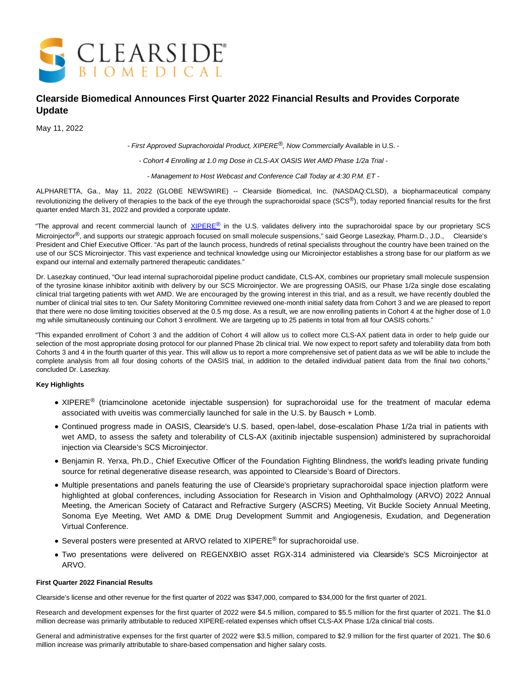

# **Clearside Biomedical Announces First Quarter 2022 Financial Results and Provides Corporate Update**

May 11, 2022

- First Approved Suprachoroidal Product, XIPERE<sup>®</sup>, Now Commercially Available in U.S. -

- Cohort 4 Enrolling at 1.0 mg Dose in CLS-AX OASIS Wet AMD Phase 1/2a Trial -

- Management to Host Webcast and Conference Call Today at 4:30 P.M. ET -

ALPHARETTA, Ga., May 11, 2022 (GLOBE NEWSWIRE) -- Clearside Biomedical, Inc. (NASDAQ:CLSD), a biopharmaceutical company revolutionizing the delivery of therapies to the back of the eye through the suprachoroidal space (SCS<sup>®</sup>), today reported financial results for the first quarter ended March 31, 2022 and provided a corporate update.

"The approval and recent commercial launch of [XIPERE](https://www.globenewswire.com/Tracker?data=qQNE3ohUv64WJw1qxe2pGh8O9N0aoYElqjeAGBE4mBD0QUuvkA6vck1mTcYO6pb0QNxN7v6wBQTn_O-cyqmHCW0IuxnA6xE8WlfSz3O9z6o=)[®](https://www.globenewswire.com/Tracker?data=IgeLsETotzr9Uw1VA7An4IldQOvD2YckrguTkWIYr06RrNj1on9cuFD3A5Tzt79TbufvB9owXaD5GMPnX7QbhIFjLm9QFSzEKO_UCxAJGuo=) in the U.S. validates delivery into the suprachoroidal space by our proprietary SCS Microinjector<sup>®</sup>, and supports our strategic approach focused on small molecule suspensions," said George Lasezkay, Pharm.D., J.D., Clearside's President and Chief Executive Officer. "As part of the launch process, hundreds of retinal specialists throughout the country have been trained on the use of our SCS Microinjector. This vast experience and technical knowledge using our Microinjector establishes a strong base for our platform as we expand our internal and externally partnered therapeutic candidates."

Dr. Lasezkay continued, "Our lead internal suprachoroidal pipeline product candidate, CLS-AX, combines our proprietary small molecule suspension of the tyrosine kinase inhibitor axitinib with delivery by our SCS Microinjector. We are progressing OASIS, our Phase 1/2a single dose escalating clinical trial targeting patients with wet AMD. We are encouraged by the growing interest in this trial, and as a result, we have recently doubled the number of clinical trial sites to ten. Our Safety Monitoring Committee reviewed one-month initial safety data from Cohort 3 and we are pleased to report that there were no dose limiting toxicities observed at the 0.5 mg dose. As a result, we are now enrolling patients in Cohort 4 at the higher dose of 1.0 mg while simultaneously continuing our Cohort 3 enrollment. We are targeting up to 25 patients in total from all four OASIS cohorts."

"This expanded enrollment of Cohort 3 and the addition of Cohort 4 will allow us to collect more CLS-AX patient data in order to help guide our selection of the most appropriate dosing protocol for our planned Phase 2b clinical trial. We now expect to report safety and tolerability data from both Cohorts 3 and 4 in the fourth quarter of this year. This will allow us to report a more comprehensive set of patient data as we will be able to include the complete analysis from all four dosing cohorts of the OASIS trial, in addition to the detailed individual patient data from the final two cohorts," concluded Dr. Lasezkay.

### **Key Highlights**

- XIPERE<sup>®</sup> (triamcinolone acetonide injectable suspension) for suprachoroidal use for the treatment of macular edema associated with uveitis was commercially launched for sale in the U.S. by Bausch + Lomb.
- Continued progress made in OASIS, Clearside's U.S. based, open-label, dose-escalation Phase 1/2a trial in patients with wet AMD, to assess the safety and tolerability of CLS-AX (axitinib injectable suspension) administered by suprachoroidal injection via Clearside's SCS Microinjector.
- Benjamin R. Yerxa, Ph.D., Chief Executive Officer of the Foundation Fighting Blindness, the world's leading private funding source for retinal degenerative disease research, was appointed to Clearside's Board of Directors.
- Multiple presentations and panels featuring the use of Clearside's proprietary suprachoroidal space injection platform were highlighted at global conferences, including Association for Research in Vision and Ophthalmology (ARVO) 2022 Annual Meeting, the American Society of Cataract and Refractive Surgery (ASCRS) Meeting, Vit Buckle Society Annual Meeting, Sonoma Eye Meeting, Wet AMD & DME Drug Development Summit and Angiogenesis, Exudation, and Degeneration Virtual Conference.
- Several posters were presented at ARVO related to XIPERE<sup>®</sup> for suprachoroidal use.
- Two presentations were delivered on REGENXBIO asset RGX-314 administered via Clearside's SCS Microinjector at ARVO.

#### **First Quarter 2022 Financial Results**

Clearside's license and other revenue for the first quarter of 2022 was \$347,000, compared to \$34,000 for the first quarter of 2021.

Research and development expenses for the first quarter of 2022 were \$4.5 million, compared to \$5.5 million for the first quarter of 2021. The \$1.0 million decrease was primarily attributable to reduced XIPERE-related expenses which offset CLS-AX Phase 1/2a clinical trial costs.

General and administrative expenses for the first quarter of 2022 were \$3.5 million, compared to \$2.9 million for the first quarter of 2021. The \$0.6 million increase was primarily attributable to share-based compensation and higher salary costs.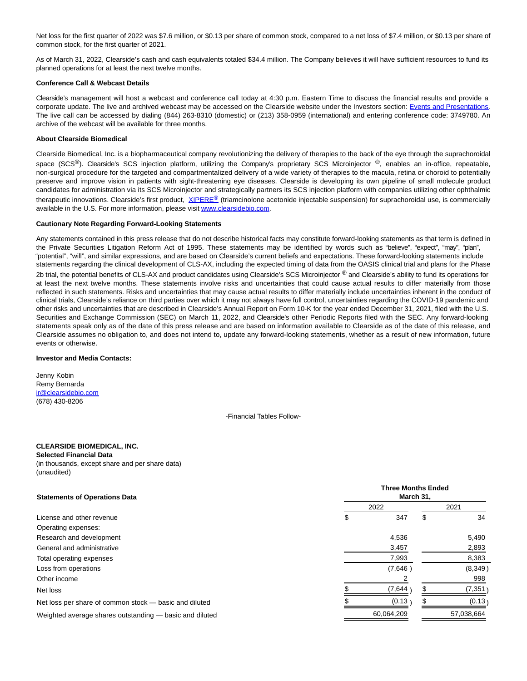Net loss for the first quarter of 2022 was \$7.6 million, or \$0.13 per share of common stock, compared to a net loss of \$7.4 million, or \$0.13 per share of common stock, for the first quarter of 2021.

As of March 31, 2022, Clearside's cash and cash equivalents totaled \$34.4 million. The Company believes it will have sufficient resources to fund its planned operations for at least the next twelve months.

#### **Conference Call & Webcast Details**

Clearside's management will host a webcast and conference call today at 4:30 p.m. Eastern Time to discuss the financial results and provide a corporate update. The live and archived webcast may be accessed on the Clearside website under the Investors section: [Events and Presentations.](https://www.globenewswire.com/Tracker?data=gm8j6bkYQBOfJIcripHTWhXFXzP5oxRpPRTSD7rn7OQ0jSxH1AHMQ2iUfZH7wulV5P87g2Zpjo5GJIB8zqt3yPRTxabK4zl1dkpDghHX0ZNTwvAM828SwroB-6JxnLxWz7ctDtTUpEqVWv_cKWYPzA==) The live call can be accessed by dialing (844) 263-8310 (domestic) or (213) 358-0959 (international) and entering conference code: 3749780. An archive of the webcast will be available for three months.

#### **About Clearside Biomedical**

Clearside Biomedical, Inc. is a biopharmaceutical company revolutionizing the delivery of therapies to the back of the eye through the suprachoroidal space (SCS<sup>®</sup>). Clearside's SCS injection platform, utilizing the Company's proprietary SCS Microinjector <sup>®</sup>, enables an in-office, repeatable, non-surgical procedure for the targeted and compartmentalized delivery of a wide variety of therapies to the macula, retina or choroid to potentially preserve and improve vision in patients with sight-threatening eye diseases. Clearside is developing its own pipeline of small molecule product candidates for administration via its SCS Microinjector and strategically partners its SCS injection platform with companies utilizing other ophthalmic therapeutic innovations. Clearside's first product, *[XIPERE](https://www.globenewswire.com/Tracker?data=qQNE3ohUv64WJw1qxe2pGqtevnU4-9EioCGRSL1S5isbJ8Y4HNl4irUJmYIyKDLvXMDlAtr_evlwgO-M5QOQw33vFEPsJ4fNfPiyaifrDwE=)[®](https://www.globenewswire.com/Tracker?data=6MHLCppIzxtuGrrNbAApHmu884dckVJBqdGUgDsliWvT4uEmGuzzP5NRhoO-sczXXsU7AOp6Big2m_3rbtPqaOJA62lJNaGypLm-S6D7W6Y=)* (triamcinolone acetonide injectable suspension) for suprachoroidal use, is commercially available in the U.S. For more information, please visit [www.clearsidebio.com.](https://www.globenewswire.com/Tracker?data=gYWzD7vr3PHf0yE93NUduKp4McMgfiNC3t5oykU7mSzNwBr0dkxviK_UC0CamzPWTBB1r47Xc_m9jFBouEWuN8ETKPo4cdcUBUvTfzF9tMA=)

#### **Cautionary Note Regarding Forward-Looking Statements**

Any statements contained in this press release that do not describe historical facts may constitute forward-looking statements as that term is defined in the Private Securities Litigation Reform Act of 1995. These statements may be identified by words such as "believe", "expect", "may", "plan", "potential", "will", and similar expressions, and are based on Clearside's current beliefs and expectations. These forward-looking statements include statements regarding the clinical development of CLS-AX, including the expected timing of data from the OASIS clinical trial and plans for the Phase 2b trial, the potential benefits of CLS-AX and product candidates using Clearside's SCS Microinjector ® and Clearside's ability to fund its operations for at least the next twelve months. These statements involve risks and uncertainties that could cause actual results to differ materially from those reflected in such statements. Risks and uncertainties that may cause actual results to differ materially include uncertainties inherent in the conduct of clinical trials, Clearside's reliance on third parties over which it may not always have full control, uncertainties regarding the COVID-19 pandemic and other risks and uncertainties that are described in Clearside's Annual Report on Form 10-K for the year ended December 31, 2021, filed with the U.S. Securities and Exchange Commission (SEC) on March 11, 2022, and Clearside's other Periodic Reports filed with the SEC. Any forward-looking statements speak only as of the date of this press release and are based on information available to Clearside as of the date of this release, and Clearside assumes no obligation to, and does not intend to, update any forward-looking statements, whether as a result of new information, future events or otherwise.

#### **Investor and Media Contacts:**

Jenny Kobin Remy Bernarda [ir@clearsidebio.com](https://www.globenewswire.com/Tracker?data=I4b10XzHCskusQiPGsUpCbzv9c-hEuJae3iNYyXbg25rQnoHnm7BHBECRx-4NLG3KbStEWieFjotyPaaJvAG79MzKVVep1T5LrtH8lJt854=) (678) 430-8206

-Financial Tables Follow-

## **CLEARSIDE BIOMEDICAL, INC.**

**Selected Financial Data** (in thousands, except share and per share data) (unaudited)

| <b>Statements of Operations Data</b>                    | <b>Three Months Ended</b><br>March 31, |            |      |            |
|---------------------------------------------------------|----------------------------------------|------------|------|------------|
|                                                         | 2022                                   |            | 2021 |            |
| License and other revenue                               | S                                      | 347        | \$   | 34         |
| Operating expenses:                                     |                                        |            |      |            |
| Research and development                                |                                        | 4,536      |      | 5,490      |
| General and administrative                              |                                        | 3,457      |      | 2,893      |
| Total operating expenses                                |                                        | 7,993      |      | 8,383      |
| Loss from operations                                    |                                        | (7,646)    |      | (8,349)    |
| Other income                                            |                                        |            |      | 998        |
| Net loss                                                |                                        | (7,644     |      | (7, 351)   |
| Net loss per share of common stock — basic and diluted  |                                        | (0.13)     |      | (0.13)     |
| Weighted average shares outstanding — basic and diluted |                                        | 60,064,209 |      | 57,038,664 |